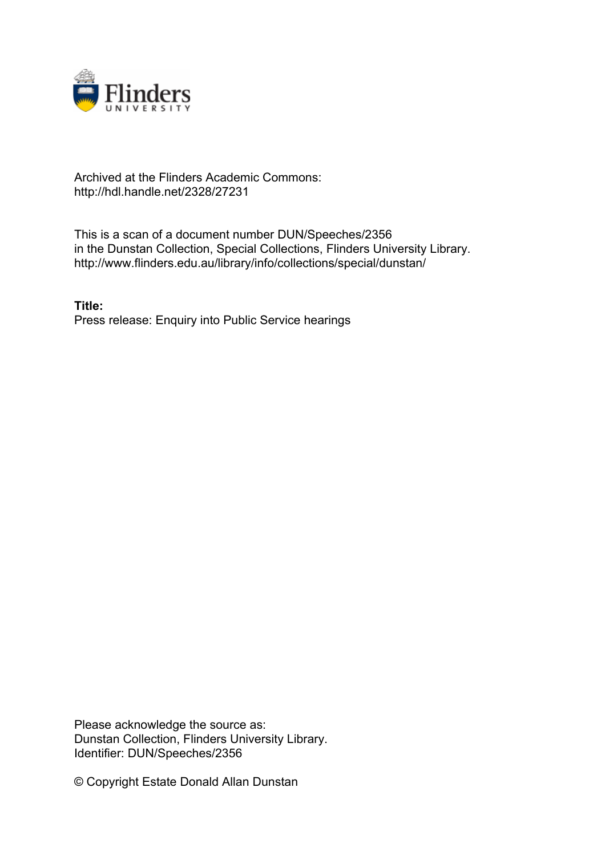

## Archived at the Flinders Academic Commons: http://hdl.handle.net/2328/27231

This is a scan of a document number DUN/Speeches/2356 in the Dunstan Collection, Special Collections, Flinders University Library. http://www.flinders.edu.au/library/info/collections/special/dunstan/

**Title:** Press release: Enquiry into Public Service hearings

Please acknowledge the source as: Dunstan Collection, Flinders University Library. Identifier: DUN/Speeches/2356

© Copyright Estate Donald Allan Dunstan